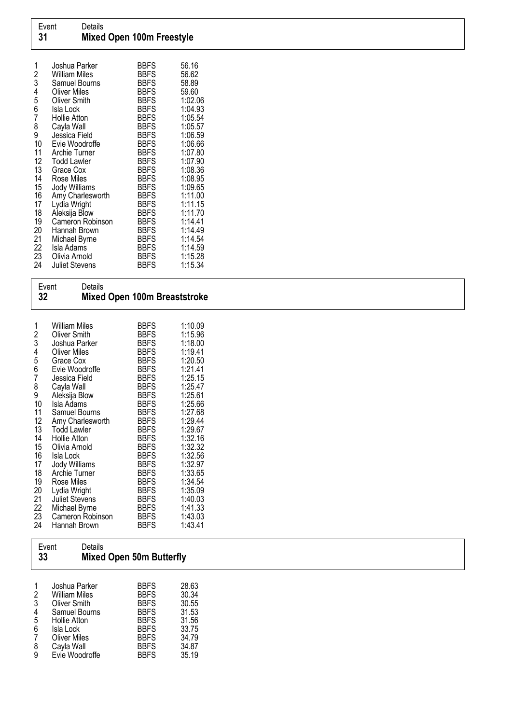| 1<br>$\overline{c}$ | Joshua Parker<br>William Miles      | <b>BBFS</b><br><b>BBFS</b> | 56.16<br>56.62   |
|---------------------|-------------------------------------|----------------------------|------------------|
| 3                   | Samuel Bourns                       | <b>BBFS</b>                | 58.89            |
| 4<br>5              | <b>Oliver Miles</b><br>Oliver Smith | <b>BBFS</b><br><b>BBFS</b> | 59.60<br>1:02.06 |
| 6                   | Isla Lock                           | <b>BBFS</b>                | 1:04.93          |
| 7                   | Hollie Atton                        | <b>BBFS</b>                | 1:05.54          |
| 8                   | Cayla Wall                          | <b>BBFS</b>                | 1:05.57          |
| 9                   | Jessica Field                       | <b>BBFS</b>                | 1:06.59          |
| 10                  | Evie Woodroffe                      | <b>BBFS</b>                | 1:06.66          |
| 11                  | Archie Turner                       | <b>BBFS</b>                | 1:07.80          |
| 12                  | <b>Todd Lawler</b>                  | <b>BBFS</b>                | 1:07.90          |
| 13                  | Grace Cox                           | <b>BBFS</b>                | 1:08.36          |
| 14                  | Rose Miles                          | <b>BBFS</b>                | 1:08.95          |
| 15                  | Jody Williams                       | <b>BBFS</b>                | 1:09.65          |
| 16                  | Amy Charlesworth                    | <b>BBFS</b>                | 1:11.00          |
| 17                  | Lydia Wright                        | <b>BBFS</b>                | 1:11.15          |
| 18                  | Aleksija Blow                       | <b>BBFS</b>                | 1:11.70          |
| 19                  | Cameron Robinson                    | <b>BBFS</b>                | 1:14.41          |
| 20                  | Hannah Brown                        | <b>BBFS</b>                | 1:14.49          |
| 21                  | Michael Byrne                       | <b>BBFS</b>                | 1:14.54          |
| 22                  | Isla Adams                          | <b>BBFS</b>                | 1:14.59          |
| 23                  | Olivia Arnold                       | <b>BBFS</b>                | 1:15.28          |
| 24                  | <b>Juliet Stevens</b>               | <b>BBFS</b>                | 1:15.34          |

| Event<br>32 |               | Details                              | <b>Mixed Open 100m Breaststroke</b> |                    |  |  |
|-------------|---------------|--------------------------------------|-------------------------------------|--------------------|--|--|
|             | $\frac{2}{3}$ | <b>William Miles</b><br>Oliver Smith | <b>BBFS</b><br><b>BBFS</b>          | 1:10.09<br>1:15.96 |  |  |
|             |               | Joshua Parker                        | <b>BBFS</b>                         | 1:18.00            |  |  |
|             | 4             | <b>Oliver Miles</b>                  | <b>BBFS</b>                         | 1:19.41            |  |  |
|             | 5             | Grace Cox                            | <b>BBFS</b>                         | 1:20.50            |  |  |
|             | 6             | Evie Woodroffe                       | <b>BBFS</b>                         | 1:21.41            |  |  |
|             |               | Jessica Field                        | <b>BBFS</b>                         | 1:25.15            |  |  |
|             |               |                                      |                                     |                    |  |  |

|    | <u>vuusuuti iluid</u> | ט וש        | ں . د ب |
|----|-----------------------|-------------|---------|
| 8  | Cayla Wall            | <b>BBFS</b> | 1:25.47 |
| 9  | Aleksija Blow         | <b>BBFS</b> | 1:25.61 |
| 10 | Isla Adams            | <b>BBFS</b> | 1:25.66 |
| 11 | Samuel Bourns         | <b>BBFS</b> | 1:27.68 |
| 12 | Amy Charlesworth      | <b>BBFS</b> | 1:29.44 |
| 13 | <b>Todd Lawler</b>    | <b>BBFS</b> | 1:29.67 |
| 14 | Hollie Atton          | <b>BBFS</b> | 1:32.16 |
| 15 | Olivia Arnold         | <b>BBFS</b> | 1:32.32 |
| 16 | Isla Lock             | <b>BBFS</b> | 1:32.56 |
| 17 | Jody Williams         | <b>BBFS</b> | 1:32.97 |
| 18 | <b>Archie Turner</b>  | <b>BBFS</b> | 1:33.65 |
| 19 | Rose Miles            | <b>BBFS</b> | 1:34.54 |
| 20 | Lydia Wright          | <b>BBFS</b> | 1:35.09 |
| 21 | <b>Juliet Stevens</b> | <b>BBFS</b> | 1:40.03 |
| 22 | Michael Byrne         | <b>BBFS</b> | 1:41.33 |
| 23 | Cameron Robinson      | <b>BBFS</b> | 1:43.03 |
| 24 | Hannah Brown          | <b>BBFS</b> | 1:43.41 |
|    |                       |             |         |

 $\sqrt{ }$ 

| 33                                       | Details<br>Event                                                                                                    | <b>Mixed Open 50m Butterfly</b>                                                                       |                                                             |  |
|------------------------------------------|---------------------------------------------------------------------------------------------------------------------|-------------------------------------------------------------------------------------------------------|-------------------------------------------------------------|--|
| 1<br>2<br>3<br>4<br>5<br>$6\phantom{1}6$ | Joshua Parker<br><b>William Miles</b><br>Oliver Smith<br>Samuel Bourns<br>Hollie Atton<br>Isla Lock<br>Oliver Miles | <b>BBFS</b><br><b>BBFS</b><br><b>BBFS</b><br><b>BBFS</b><br><b>BBFS</b><br><b>BBFS</b><br><b>BBFS</b> | 28.63<br>30.34<br>30.55<br>31.53<br>31.56<br>33.75<br>34.79 |  |
| 8<br>9                                   | Cayla Wall<br>Evie Woodroffe                                                                                        | <b>BBFS</b><br><b>BBFS</b>                                                                            | 34.87<br>35.19                                              |  |